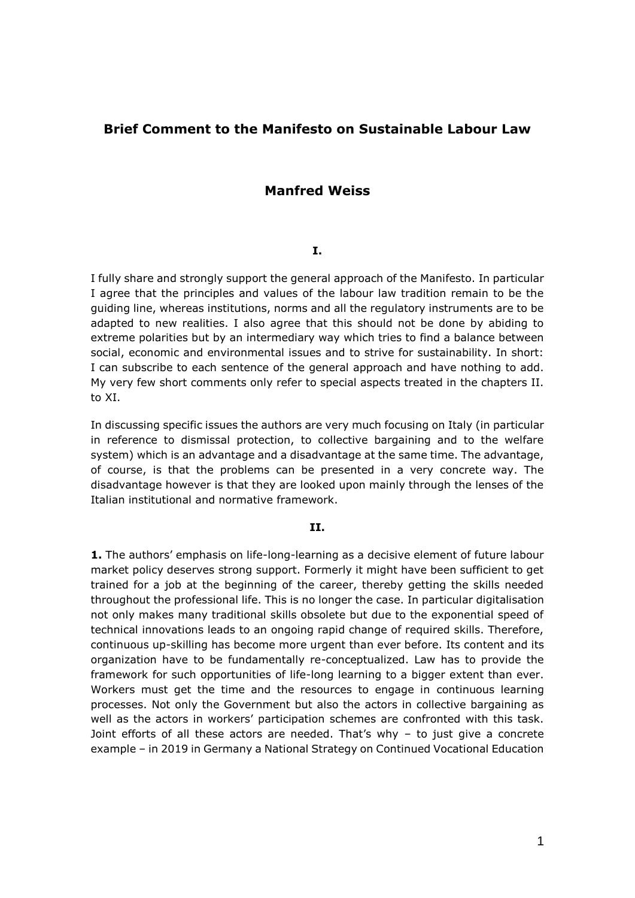# **Brief Comment to the Manifesto on Sustainable Labour Law**

# **Manfred Weiss**

## **I.**

I fully share and strongly support the general approach of the Manifesto. In particular I agree that the principles and values of the labour law tradition remain to be the guiding line, whereas institutions, norms and all the regulatory instruments are to be adapted to new realities. I also agree that this should not be done by abiding to extreme polarities but by an intermediary way which tries to find a balance between social, economic and environmental issues and to strive for sustainability. In short: I can subscribe to each sentence of the general approach and have nothing to add. My very few short comments only refer to special aspects treated in the chapters II. to XI.

In discussing specific issues the authors are very much focusing on Italy (in particular in reference to dismissal protection, to collective bargaining and to the welfare system) which is an advantage and a disadvantage at the same time. The advantage, of course, is that the problems can be presented in a very concrete way. The disadvantage however is that they are looked upon mainly through the lenses of the Italian institutional and normative framework.

## **II.**

**1.** The authors' emphasis on life-long-learning as a decisive element of future labour market policy deserves strong support. Formerly it might have been sufficient to get trained for a job at the beginning of the career, thereby getting the skills needed throughout the professional life. This is no longer the case. In particular digitalisation not only makes many traditional skills obsolete but due to the exponential speed of technical innovations leads to an ongoing rapid change of required skills. Therefore, continuous up-skilling has become more urgent than ever before. Its content and its organization have to be fundamentally re-conceptualized. Law has to provide the framework for such opportunities of life-long learning to a bigger extent than ever. Workers must get the time and the resources to engage in continuous learning processes. Not only the Government but also the actors in collective bargaining as well as the actors in workers' participation schemes are confronted with this task. Joint efforts of all these actors are needed. That's why – to just give a concrete example – in 2019 in Germany a National Strategy on Continued Vocational Education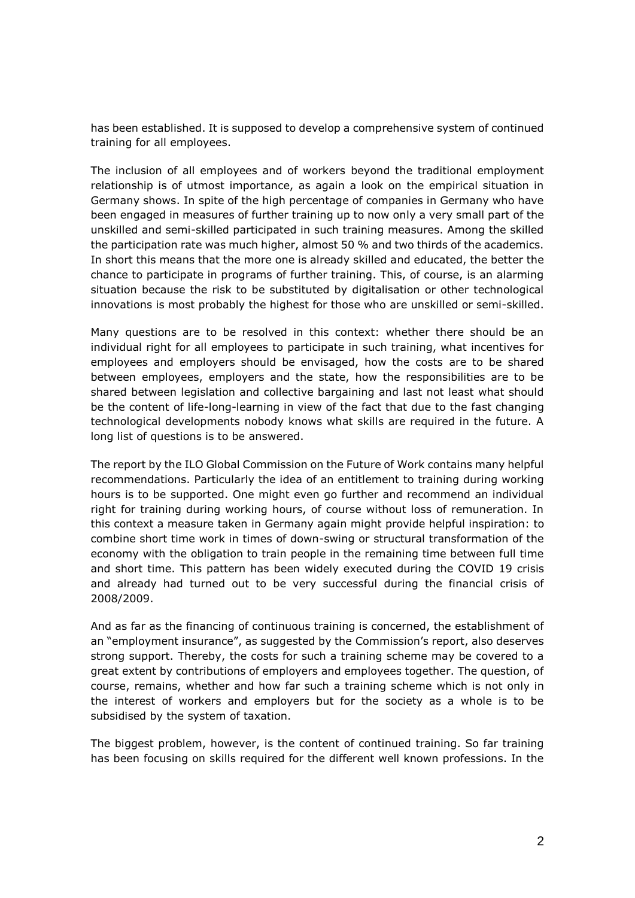has been established. It is supposed to develop a comprehensive system of continued training for all employees.

The inclusion of all employees and of workers beyond the traditional employment relationship is of utmost importance, as again a look on the empirical situation in Germany shows. In spite of the high percentage of companies in Germany who have been engaged in measures of further training up to now only a very small part of the unskilled and semi-skilled participated in such training measures. Among the skilled the participation rate was much higher, almost 50 % and two thirds of the academics. In short this means that the more one is already skilled and educated, the better the chance to participate in programs of further training. This, of course, is an alarming situation because the risk to be substituted by digitalisation or other technological innovations is most probably the highest for those who are unskilled or semi-skilled.

Many questions are to be resolved in this context: whether there should be an individual right for all employees to participate in such training, what incentives for employees and employers should be envisaged, how the costs are to be shared between employees, employers and the state, how the responsibilities are to be shared between legislation and collective bargaining and last not least what should be the content of life-long-learning in view of the fact that due to the fast changing technological developments nobody knows what skills are required in the future. A long list of questions is to be answered.

The report by the ILO Global Commission on the Future of Work contains many helpful recommendations. Particularly the idea of an entitlement to training during working hours is to be supported. One might even go further and recommend an individual right for training during working hours, of course without loss of remuneration. In this context a measure taken in Germany again might provide helpful inspiration: to combine short time work in times of down-swing or structural transformation of the economy with the obligation to train people in the remaining time between full time and short time. This pattern has been widely executed during the COVID 19 crisis and already had turned out to be very successful during the financial crisis of 2008/2009.

And as far as the financing of continuous training is concerned, the establishment of an "employment insurance", as suggested by the Commission's report, also deserves strong support. Thereby, the costs for such a training scheme may be covered to a great extent by contributions of employers and employees together. The question, of course, remains, whether and how far such a training scheme which is not only in the interest of workers and employers but for the society as a whole is to be subsidised by the system of taxation.

The biggest problem, however, is the content of continued training. So far training has been focusing on skills required for the different well known professions. In the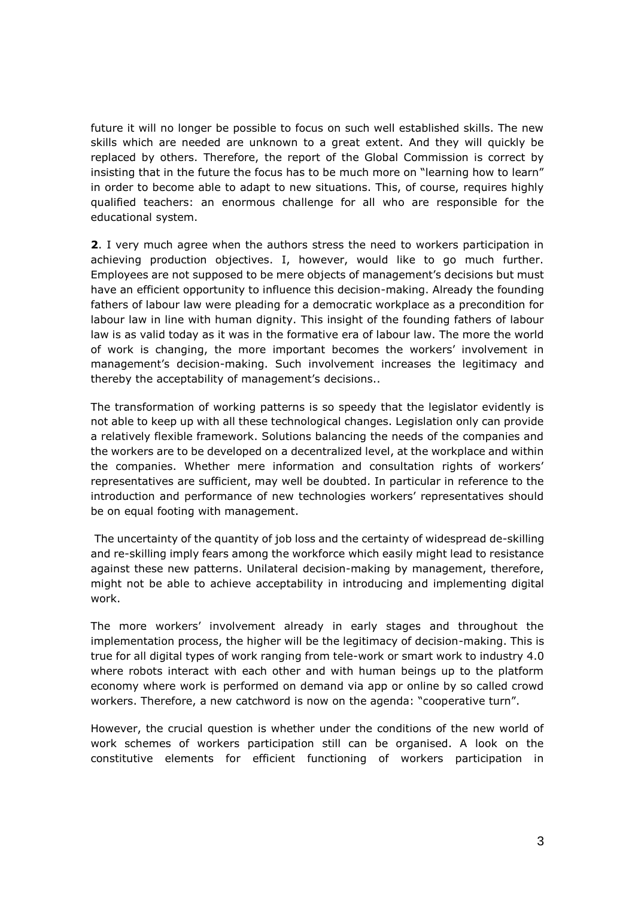future it will no longer be possible to focus on such well established skills. The new skills which are needed are unknown to a great extent. And they will quickly be replaced by others. Therefore, the report of the Global Commission is correct by insisting that in the future the focus has to be much more on "learning how to learn" in order to become able to adapt to new situations. This, of course, requires highly qualified teachers: an enormous challenge for all who are responsible for the educational system.

**2**. I very much agree when the authors stress the need to workers participation in achieving production objectives. I, however, would like to go much further. Employees are not supposed to be mere objects of management's decisions but must have an efficient opportunity to influence this decision-making. Already the founding fathers of labour law were pleading for a democratic workplace as a precondition for labour law in line with human dignity. This insight of the founding fathers of labour law is as valid today as it was in the formative era of labour law. The more the world of work is changing, the more important becomes the workers' involvement in management's decision-making. Such involvement increases the legitimacy and thereby the acceptability of management's decisions..

The transformation of working patterns is so speedy that the legislator evidently is not able to keep up with all these technological changes. Legislation only can provide a relatively flexible framework. Solutions balancing the needs of the companies and the workers are to be developed on a decentralized level, at the workplace and within the companies. Whether mere information and consultation rights of workers' representatives are sufficient, may well be doubted. In particular in reference to the introduction and performance of new technologies workers' representatives should be on equal footing with management.

The uncertainty of the quantity of job loss and the certainty of widespread de-skilling and re-skilling imply fears among the workforce which easily might lead to resistance against these new patterns. Unilateral decision-making by management, therefore, might not be able to achieve acceptability in introducing and implementing digital work.

The more workers' involvement already in early stages and throughout the implementation process, the higher will be the legitimacy of decision-making. This is true for all digital types of work ranging from tele-work or smart work to industry 4.0 where robots interact with each other and with human beings up to the platform economy where work is performed on demand via app or online by so called crowd workers. Therefore, a new catchword is now on the agenda: "cooperative turn".

However, the crucial question is whether under the conditions of the new world of work schemes of workers participation still can be organised. A look on the constitutive elements for efficient functioning of workers participation in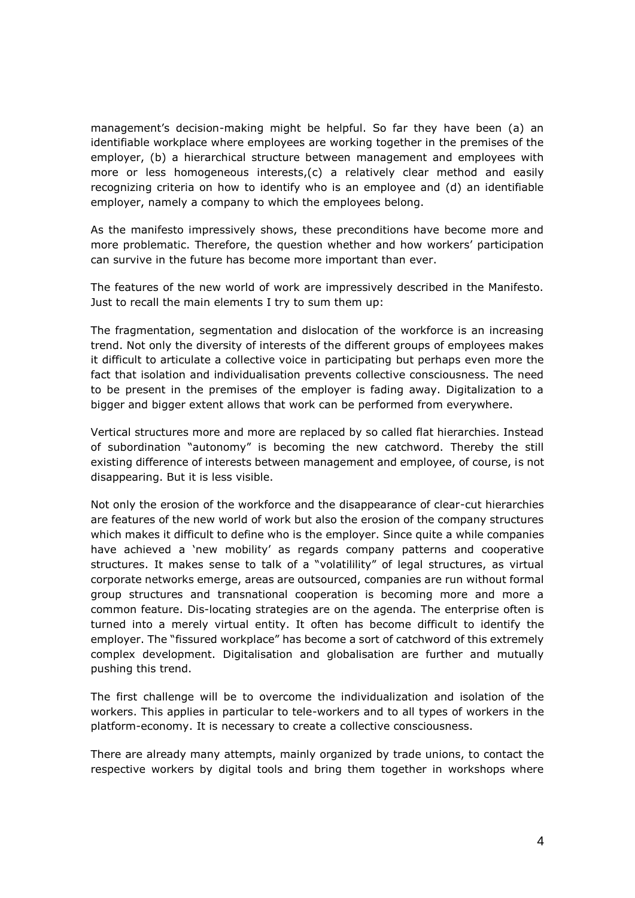management's decision-making might be helpful. So far they have been (a) an identifiable workplace where employees are working together in the premises of the employer, (b) a hierarchical structure between management and employees with more or less homogeneous interests,(c) a relatively clear method and easily recognizing criteria on how to identify who is an employee and (d) an identifiable employer, namely a company to which the employees belong.

As the manifesto impressively shows, these preconditions have become more and more problematic. Therefore, the question whether and how workers' participation can survive in the future has become more important than ever.

The features of the new world of work are impressively described in the Manifesto. Just to recall the main elements I try to sum them up:

The fragmentation, segmentation and dislocation of the workforce is an increasing trend. Not only the diversity of interests of the different groups of employees makes it difficult to articulate a collective voice in participating but perhaps even more the fact that isolation and individualisation prevents collective consciousness. The need to be present in the premises of the employer is fading away. Digitalization to a bigger and bigger extent allows that work can be performed from everywhere.

Vertical structures more and more are replaced by so called flat hierarchies. Instead of subordination "autonomy" is becoming the new catchword. Thereby the still existing difference of interests between management and employee, of course, is not disappearing. But it is less visible.

Not only the erosion of the workforce and the disappearance of clear-cut hierarchies are features of the new world of work but also the erosion of the company structures which makes it difficult to define who is the employer. Since quite a while companies have achieved a 'new mobility' as regards company patterns and cooperative structures. It makes sense to talk of a "volatilility" of legal structures, as virtual corporate networks emerge, areas are outsourced, companies are run without formal group structures and transnational cooperation is becoming more and more a common feature. Dis-locating strategies are on the agenda. The enterprise often is turned into a merely virtual entity. It often has become difficult to identify the employer. The "fissured workplace" has become a sort of catchword of this extremely complex development. Digitalisation and globalisation are further and mutually pushing this trend.

The first challenge will be to overcome the individualization and isolation of the workers. This applies in particular to tele-workers and to all types of workers in the platform-economy. It is necessary to create a collective consciousness.

There are already many attempts, mainly organized by trade unions, to contact the respective workers by digital tools and bring them together in workshops where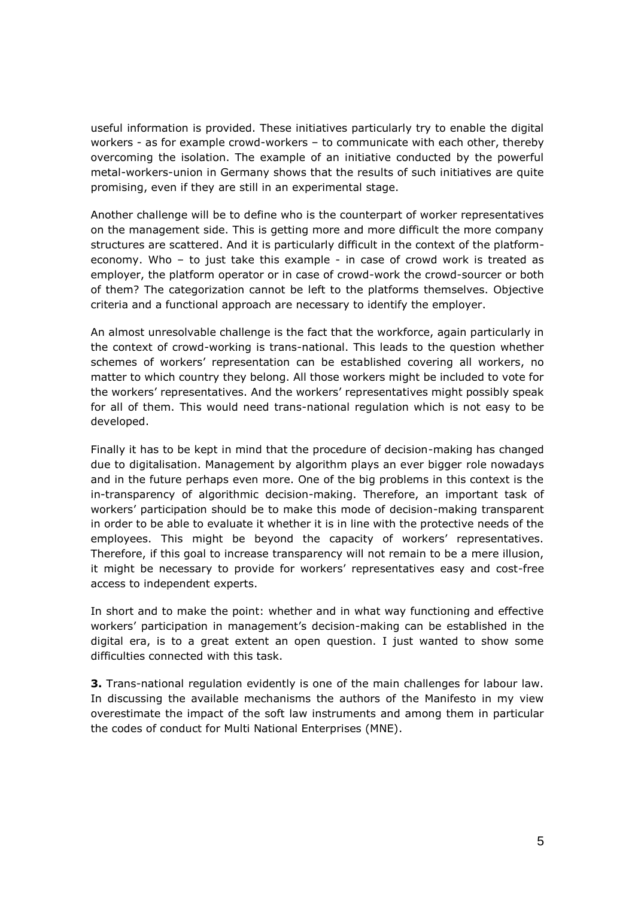useful information is provided. These initiatives particularly try to enable the digital workers - as for example crowd-workers – to communicate with each other, thereby overcoming the isolation. The example of an initiative conducted by the powerful metal-workers-union in Germany shows that the results of such initiatives are quite promising, even if they are still in an experimental stage.

Another challenge will be to define who is the counterpart of worker representatives on the management side. This is getting more and more difficult the more company structures are scattered. And it is particularly difficult in the context of the platformeconomy. Who – to just take this example - in case of crowd work is treated as employer, the platform operator or in case of crowd-work the crowd-sourcer or both of them? The categorization cannot be left to the platforms themselves. Objective criteria and a functional approach are necessary to identify the employer.

An almost unresolvable challenge is the fact that the workforce, again particularly in the context of crowd-working is trans-national. This leads to the question whether schemes of workers' representation can be established covering all workers, no matter to which country they belong. All those workers might be included to vote for the workers' representatives. And the workers' representatives might possibly speak for all of them. This would need trans-national regulation which is not easy to be developed.

Finally it has to be kept in mind that the procedure of decision-making has changed due to digitalisation. Management by algorithm plays an ever bigger role nowadays and in the future perhaps even more. One of the big problems in this context is the in-transparency of algorithmic decision-making. Therefore, an important task of workers' participation should be to make this mode of decision-making transparent in order to be able to evaluate it whether it is in line with the protective needs of the employees. This might be beyond the capacity of workers' representatives. Therefore, if this goal to increase transparency will not remain to be a mere illusion, it might be necessary to provide for workers' representatives easy and cost-free access to independent experts.

In short and to make the point: whether and in what way functioning and effective workers' participation in management's decision-making can be established in the digital era, is to a great extent an open question. I just wanted to show some difficulties connected with this task.

**3.** Trans-national regulation evidently is one of the main challenges for labour law. In discussing the available mechanisms the authors of the Manifesto in my view overestimate the impact of the soft law instruments and among them in particular the codes of conduct for Multi National Enterprises (MNE).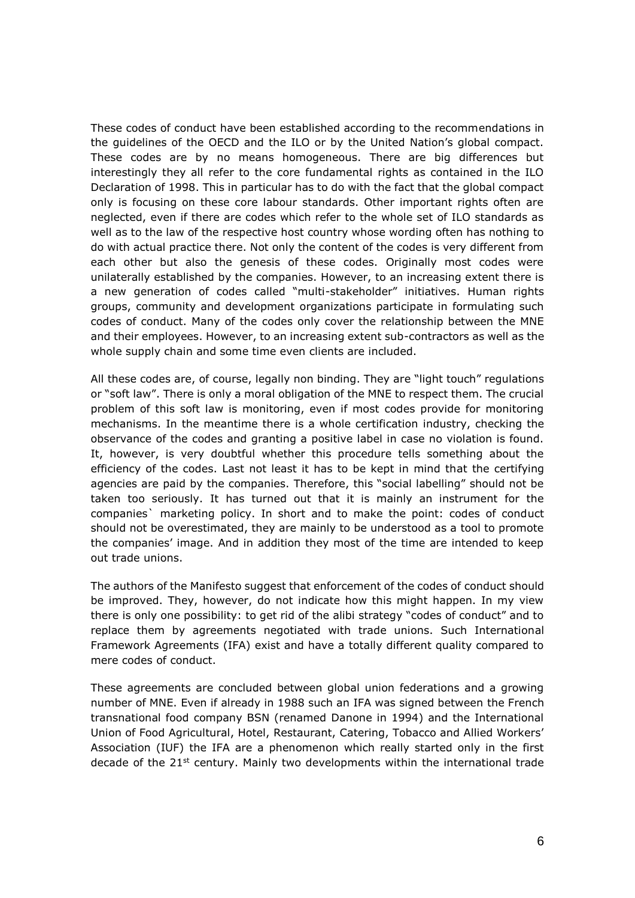These codes of conduct have been established according to the recommendations in the guidelines of the OECD and the ILO or by the United Nation's global compact. These codes are by no means homogeneous. There are big differences but interestingly they all refer to the core fundamental rights as contained in the ILO Declaration of 1998. This in particular has to do with the fact that the global compact only is focusing on these core labour standards. Other important rights often are neglected, even if there are codes which refer to the whole set of ILO standards as well as to the law of the respective host country whose wording often has nothing to do with actual practice there. Not only the content of the codes is very different from each other but also the genesis of these codes. Originally most codes were unilaterally established by the companies. However, to an increasing extent there is a new generation of codes called "multi-stakeholder" initiatives. Human rights groups, community and development organizations participate in formulating such codes of conduct. Many of the codes only cover the relationship between the MNE and their employees. However, to an increasing extent sub-contractors as well as the whole supply chain and some time even clients are included.

All these codes are, of course, legally non binding. They are "light touch" regulations or "soft law". There is only a moral obligation of the MNE to respect them. The crucial problem of this soft law is monitoring, even if most codes provide for monitoring mechanisms. In the meantime there is a whole certification industry, checking the observance of the codes and granting a positive label in case no violation is found. It, however, is very doubtful whether this procedure tells something about the efficiency of the codes. Last not least it has to be kept in mind that the certifying agencies are paid by the companies. Therefore, this "social labelling" should not be taken too seriously. It has turned out that it is mainly an instrument for the companies` marketing policy. In short and to make the point: codes of conduct should not be overestimated, they are mainly to be understood as a tool to promote the companies' image. And in addition they most of the time are intended to keep out trade unions.

The authors of the Manifesto suggest that enforcement of the codes of conduct should be improved. They, however, do not indicate how this might happen. In my view there is only one possibility: to get rid of the alibi strategy "codes of conduct" and to replace them by agreements negotiated with trade unions. Such International Framework Agreements (IFA) exist and have a totally different quality compared to mere codes of conduct.

These agreements are concluded between global union federations and a growing number of MNE. Even if already in 1988 such an IFA was signed between the French transnational food company BSN (renamed Danone in 1994) and the International Union of Food Agricultural, Hotel, Restaurant, Catering, Tobacco and Allied Workers' Association (IUF) the IFA are a phenomenon which really started only in the first decade of the  $21<sup>st</sup>$  century. Mainly two developments within the international trade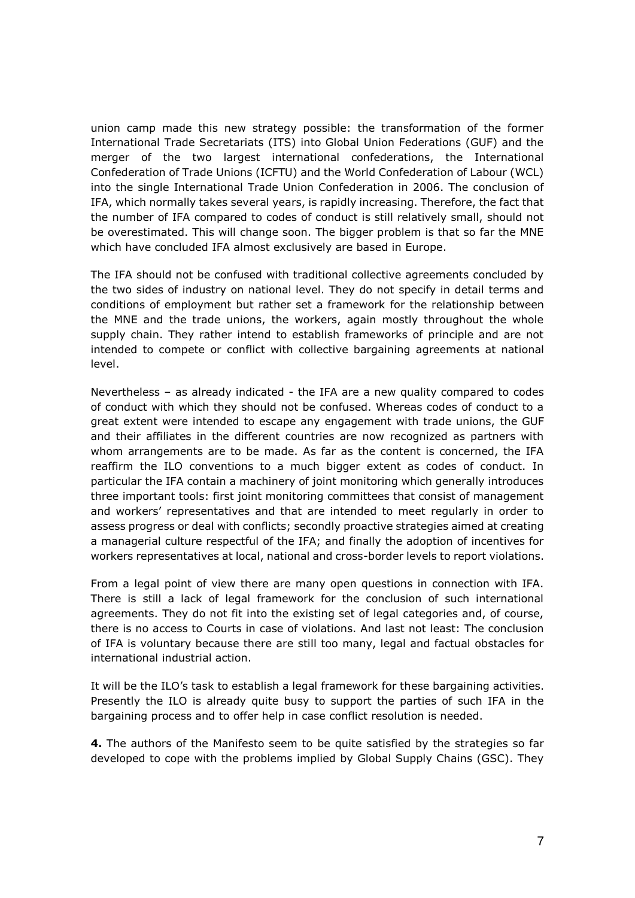union camp made this new strategy possible: the transformation of the former International Trade Secretariats (ITS) into Global Union Federations (GUF) and the merger of the two largest international confederations, the International Confederation of Trade Unions (ICFTU) and the World Confederation of Labour (WCL) into the single International Trade Union Confederation in 2006. The conclusion of IFA, which normally takes several years, is rapidly increasing. Therefore, the fact that the number of IFA compared to codes of conduct is still relatively small, should not be overestimated. This will change soon. The bigger problem is that so far the MNE which have concluded IFA almost exclusively are based in Europe.

The IFA should not be confused with traditional collective agreements concluded by the two sides of industry on national level. They do not specify in detail terms and conditions of employment but rather set a framework for the relationship between the MNE and the trade unions, the workers, again mostly throughout the whole supply chain. They rather intend to establish frameworks of principle and are not intended to compete or conflict with collective bargaining agreements at national level.

Nevertheless – as already indicated - the IFA are a new quality compared to codes of conduct with which they should not be confused. Whereas codes of conduct to a great extent were intended to escape any engagement with trade unions, the GUF and their affiliates in the different countries are now recognized as partners with whom arrangements are to be made. As far as the content is concerned, the IFA reaffirm the ILO conventions to a much bigger extent as codes of conduct. In particular the IFA contain a machinery of joint monitoring which generally introduces three important tools: first joint monitoring committees that consist of management and workers' representatives and that are intended to meet regularly in order to assess progress or deal with conflicts; secondly proactive strategies aimed at creating a managerial culture respectful of the IFA; and finally the adoption of incentives for workers representatives at local, national and cross-border levels to report violations.

From a legal point of view there are many open questions in connection with IFA. There is still a lack of legal framework for the conclusion of such international agreements. They do not fit into the existing set of legal categories and, of course, there is no access to Courts in case of violations. And last not least: The conclusion of IFA is voluntary because there are still too many, legal and factual obstacles for international industrial action.

It will be the ILO's task to establish a legal framework for these bargaining activities. Presently the ILO is already quite busy to support the parties of such IFA in the bargaining process and to offer help in case conflict resolution is needed.

**4.** The authors of the Manifesto seem to be quite satisfied by the strategies so far developed to cope with the problems implied by Global Supply Chains (GSC). They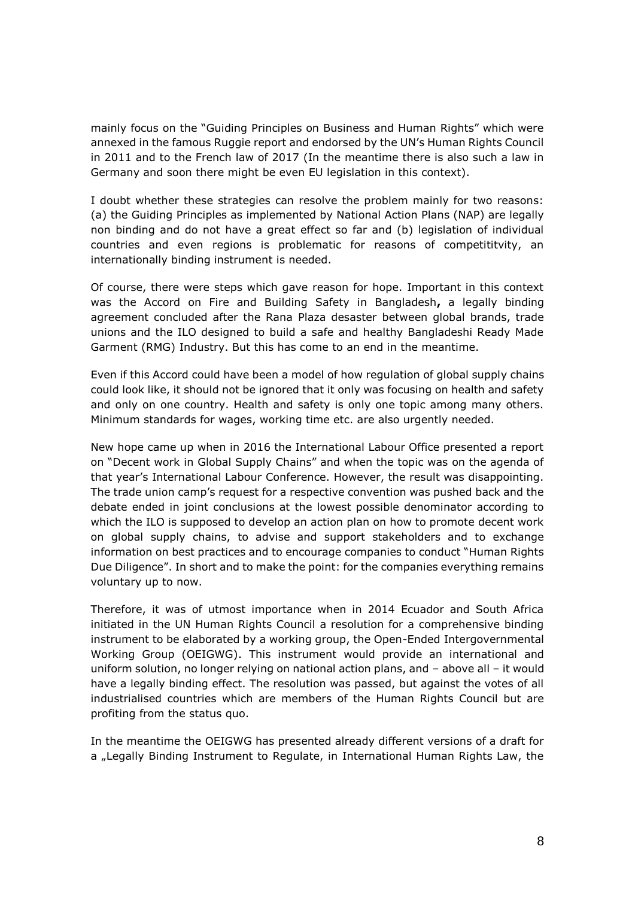mainly focus on the "Guiding Principles on Business and Human Rights" which were annexed in the famous Ruggie report and endorsed by the UN's Human Rights Council in 2011 and to the French law of 2017 (In the meantime there is also such a law in Germany and soon there might be even EU legislation in this context).

I doubt whether these strategies can resolve the problem mainly for two reasons: (a) the Guiding Principles as implemented by National Action Plans (NAP) are legally non binding and do not have a great effect so far and (b) legislation of individual countries and even regions is problematic for reasons of competititvity, an internationally binding instrument is needed.

Of course, there were steps which gave reason for hope. Important in this context was the Accord on Fire and Building Safety in Bangladesh**,** a legally binding agreement concluded after the Rana Plaza desaster between global brands, trade unions and the ILO designed to build a safe and healthy Bangladeshi Ready Made Garment (RMG) Industry. But this has come to an end in the meantime.

Even if this Accord could have been a model of how regulation of global supply chains could look like, it should not be ignored that it only was focusing on health and safety and only on one country. Health and safety is only one topic among many others. Minimum standards for wages, working time etc. are also urgently needed.

New hope came up when in 2016 the International Labour Office presented a report on "Decent work in Global Supply Chains" and when the topic was on the agenda of that year's International Labour Conference. However, the result was disappointing. The trade union camp's request for a respective convention was pushed back and the debate ended in joint conclusions at the lowest possible denominator according to which the ILO is supposed to develop an action plan on how to promote decent work on global supply chains, to advise and support stakeholders and to exchange information on best practices and to encourage companies to conduct "Human Rights Due Diligence". In short and to make the point: for the companies everything remains voluntary up to now.

Therefore, it was of utmost importance when in 2014 Ecuador and South Africa initiated in the UN Human Rights Council a resolution for a comprehensive binding instrument to be elaborated by a working group, the Open-Ended Intergovernmental Working Group (OEIGWG). This instrument would provide an international and uniform solution, no longer relying on national action plans, and – above all – it would have a legally binding effect. The resolution was passed, but against the votes of all industrialised countries which are members of the Human Rights Council but are profiting from the status quo.

In the meantime the OEIGWG has presented already different versions of a draft for a "Legally Binding Instrument to Regulate, in International Human Rights Law, the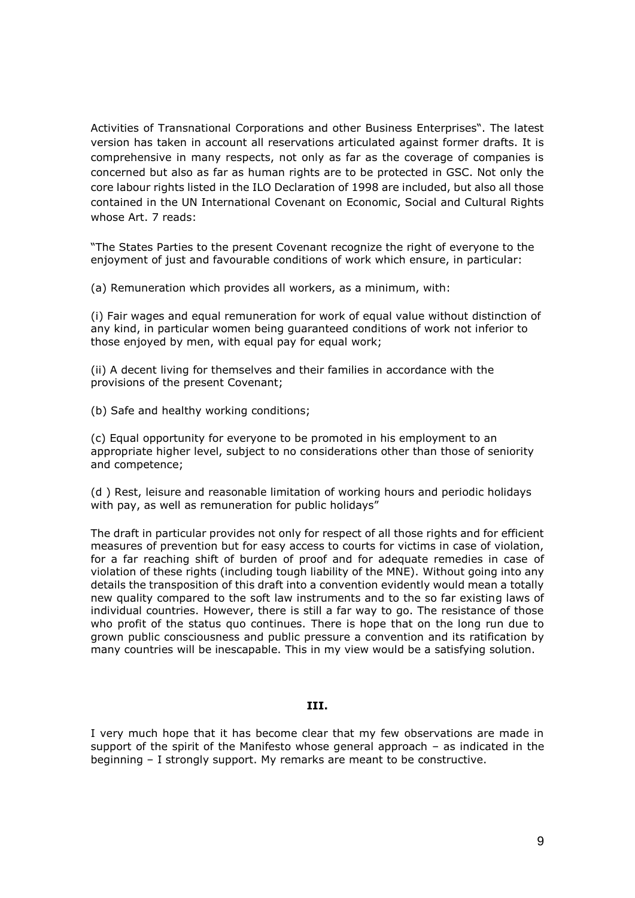Activities of Transnational Corporations and other Business Enterprises". The latest version has taken in account all reservations articulated against former drafts. It is comprehensive in many respects, not only as far as the coverage of companies is concerned but also as far as human rights are to be protected in GSC. Not only the core labour rights listed in the ILO Declaration of 1998 are included, but also all those contained in the UN International Covenant on Economic, Social and Cultural Rights whose Art. 7 reads:

"The States Parties to the present Covenant recognize the right of everyone to the enjoyment of just and favourable conditions of work which ensure, in particular:

(a) Remuneration which provides all workers, as a minimum, with:

(i) Fair wages and equal remuneration for work of equal value without distinction of any kind, in particular women being guaranteed conditions of work not inferior to those enjoyed by men, with equal pay for equal work;

(ii) A decent living for themselves and their families in accordance with the provisions of the present Covenant;

(b) Safe and healthy working conditions;

(c) Equal opportunity for everyone to be promoted in his employment to an appropriate higher level, subject to no considerations other than those of seniority and competence;

(d ) Rest, leisure and reasonable limitation of working hours and periodic holidays with pay, as well as remuneration for public holidays"

The draft in particular provides not only for respect of all those rights and for efficient measures of prevention but for easy access to courts for victims in case of violation, for a far reaching shift of burden of proof and for adequate remedies in case of violation of these rights (including tough liability of the MNE). Without going into any details the transposition of this draft into a convention evidently would mean a totally new quality compared to the soft law instruments and to the so far existing laws of individual countries. However, there is still a far way to go. The resistance of those who profit of the status quo continues. There is hope that on the long run due to grown public consciousness and public pressure a convention and its ratification by many countries will be inescapable. This in my view would be a satisfying solution.

## **III.**

I very much hope that it has become clear that my few observations are made in support of the spirit of the Manifesto whose general approach – as indicated in the beginning – I strongly support. My remarks are meant to be constructive.